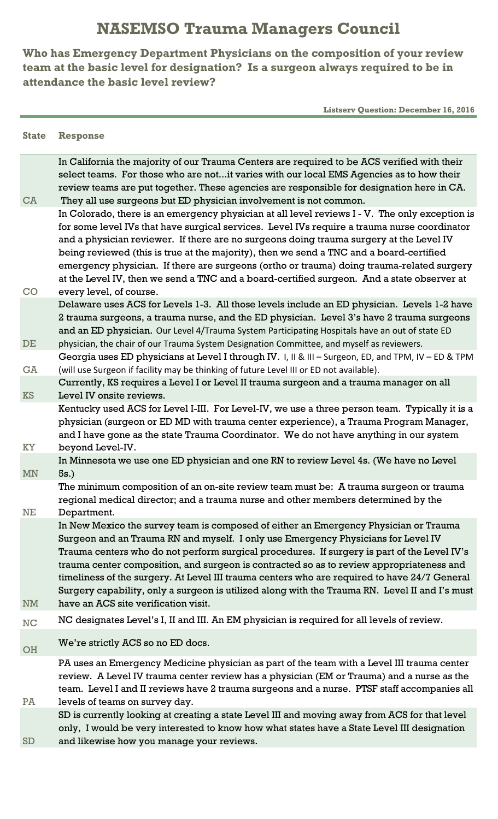## **NASEMSO Trauma Managers Council**

**Who has Emergency Department Physicians on the composition of your review team at the basic level for designation? Is a surgeon always required to be in attendance the basic level review?**

 **Listserv Question: December 16, 2016**

## **State Response**

| CA                     | In California the majority of our Trauma Centers are required to be ACS verified with their<br>select teams. For those who are notit varies with our local EMS Agencies as to how their<br>review teams are put together. These agencies are responsible for designation here in CA.<br>They all use surgeons but ED physician involvement is not common.                                                                                                                                                                                                                                                      |
|------------------------|----------------------------------------------------------------------------------------------------------------------------------------------------------------------------------------------------------------------------------------------------------------------------------------------------------------------------------------------------------------------------------------------------------------------------------------------------------------------------------------------------------------------------------------------------------------------------------------------------------------|
|                        | In Colorado, there is an emergency physician at all level reviews I - V. The only exception is<br>for some level IVs that have surgical services. Level IVs require a trauma nurse coordinator<br>and a physician reviewer. If there are no surgeons doing trauma surgery at the Level IV<br>being reviewed (this is true at the majority), then we send a TNC and a board-certified<br>emergency physician. If there are surgeons (ortho or trauma) doing trauma-related surgery<br>at the Level IV, then we send a TNC and a board-certified surgeon. And a state observer at                                |
| CO                     | every level, of course.<br>Delaware uses ACS for Levels 1-3. All those levels include an ED physician. Levels 1-2 have<br>2 trauma surgeons, a trauma nurse, and the ED physician. Level 3's have 2 trauma surgeons<br>and an ED physician. Our Level 4/Trauma System Participating Hospitals have an out of state ED                                                                                                                                                                                                                                                                                          |
| DE                     | physician, the chair of our Trauma System Designation Committee, and myself as reviewers.<br>Georgia uses ED physicians at Level I through IV. I, II & III - Surgeon, ED, and TPM, IV - ED & TPM                                                                                                                                                                                                                                                                                                                                                                                                               |
| <b>GA</b><br><b>KS</b> | (will use Surgeon if facility may be thinking of future Level III or ED not available).<br>Currently, KS requires a Level I or Level II trauma surgeon and a trauma manager on all<br>Level IV onsite reviews.                                                                                                                                                                                                                                                                                                                                                                                                 |
| KY                     | Kentucky used ACS for Level I-III. For Level-IV, we use a three person team. Typically it is a<br>physician (surgeon or ED MD with trauma center experience), a Trauma Program Manager,<br>and I have gone as the state Trauma Coordinator. We do not have anything in our system<br>beyond Level-IV.                                                                                                                                                                                                                                                                                                          |
| <b>MN</b>              | In Minnesota we use one ED physician and one RN to review Level 4s. (We have no Level<br>5s.)                                                                                                                                                                                                                                                                                                                                                                                                                                                                                                                  |
| NE                     | The minimum composition of an on-site review team must be: A trauma surgeon or trauma<br>regional medical director; and a trauma nurse and other members determined by the<br>Department.                                                                                                                                                                                                                                                                                                                                                                                                                      |
| <b>NM</b>              | In New Mexico the survey team is composed of either an Emergency Physician or Trauma<br>Surgeon and an Trauma RN and myself. I only use Emergency Physicians for Level IV<br>Trauma centers who do not perform surgical procedures. If surgery is part of the Level IV's<br>trauma center composition, and surgeon is contracted so as to review appropriateness and<br>timeliness of the surgery. At Level III trauma centers who are required to have 24/7 General<br>Surgery capability, only a surgeon is utilized along with the Trauma RN. Level II and I's must<br>have an ACS site verification visit. |
| NC                     | NC designates Level's I, II and III. An EM physician is required for all levels of review.                                                                                                                                                                                                                                                                                                                                                                                                                                                                                                                     |
| OH                     | We're strictly ACS so no ED docs.                                                                                                                                                                                                                                                                                                                                                                                                                                                                                                                                                                              |
| PA                     | PA uses an Emergency Medicine physician as part of the team with a Level III trauma center<br>review. A Level IV trauma center review has a physician (EM or Trauma) and a nurse as the<br>team. Level I and II reviews have 2 trauma surgeons and a nurse. PTSF staff accompanies all<br>levels of teams on survey day.                                                                                                                                                                                                                                                                                       |
| SD                     | SD is currently looking at creating a state Level III and moving away from ACS for that level<br>only, I would be very interested to know how what states have a State Level III designation<br>and likewise how you manage your reviews.                                                                                                                                                                                                                                                                                                                                                                      |